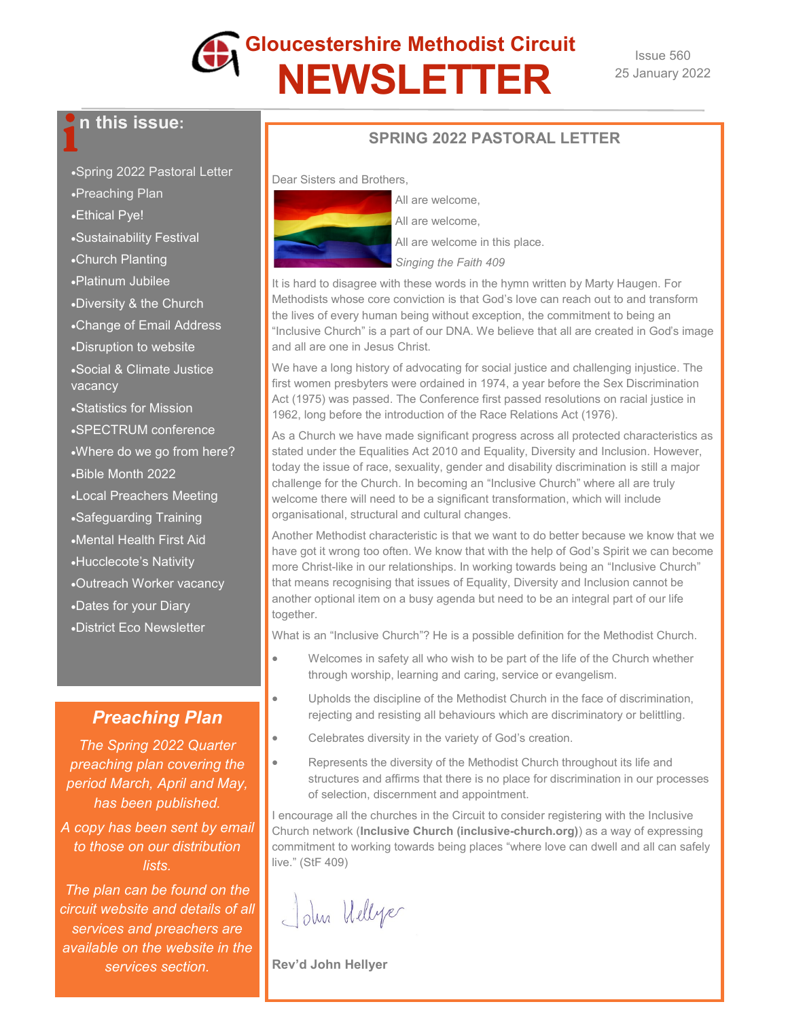

Issue 560 25 January 2022

# **h** this issue:

- •Spring 2022 Pastoral Letter
- •Preaching Plan
- •Ethical Pye!
- •Sustainability Festival
- •Church Planting
- •Platinum Jubilee
- •Diversity & the Church
- •Change of Email Address
- •Disruption to website
- •Social & Climate Justice vacancy
- •Statistics for Mission
- •SPECTRUM conference
- •Where do we go from here?
- •Bible Month 2022
- •Local Preachers Meeting
- •Safeguarding Training
- •Mental Health First Aid
- •Hucclecote's Nativity
- •Outreach Worker vacancy
- •Dates for your Diary
- •District Eco Newsletter

### *Preaching Plan*

*The Spring 2022 Quarter preaching plan covering the period March, April and May, has been published.*

*A copy has been sent by email to those on our distribution lists.*

*The plan can be found on the circuit website and details of all services and preachers are available on the website in the services section.*

#### **SPRING 2022 PASTORAL LETTER**

Dear Sisters and Brothers,



All are welcome,

All are welcome,

All are welcome in this place.

*Singing the Faith 409*

It is hard to disagree with these words in the hymn written by Marty Haugen. For Methodists whose core conviction is that God's love can reach out to and transform the lives of every human being without exception, the commitment to being an "Inclusive Church" is a part of our DNA. We believe that all are created in God's image and all are one in Jesus Christ.

We have a long history of advocating for social justice and challenging injustice. The first women presbyters were ordained in 1974, a year before the Sex Discrimination Act (1975) was passed. The Conference first passed resolutions on racial justice in 1962, long before the introduction of the Race Relations Act (1976).

As a Church we have made significant progress across all protected characteristics as stated under the Equalities Act 2010 and Equality, Diversity and Inclusion. However, today the issue of race, sexuality, gender and disability discrimination is still a major challenge for the Church. In becoming an "Inclusive Church" where all are truly welcome there will need to be a significant transformation, which will include organisational, structural and cultural changes.

Another Methodist characteristic is that we want to do better because we know that we have got it wrong too often. We know that with the help of God's Spirit we can become more Christ-like in our relationships. In working towards being an "Inclusive Church" that means recognising that issues of Equality, Diversity and Inclusion cannot be another optional item on a busy agenda but need to be an integral part of our life together.

What is an "Inclusive Church"? He is a possible definition for the Methodist Church.

- Welcomes in safety all who wish to be part of the life of the Church whether through worship, learning and caring, service or evangelism.
- Upholds the discipline of the Methodist Church in the face of discrimination, rejecting and resisting all behaviours which are discriminatory or belittling.
- Celebrates diversity in the variety of God's creation.
- Represents the diversity of the Methodist Church throughout its life and structures and affirms that there is no place for discrimination in our processes of selection, discernment and appointment.

I encourage all the churches in the Circuit to consider registering with the Inclusive Church network (**[Inclusive Church \(inclusive](https://www.inclusive-church.org/)-church.org)**) as a way of expressing commitment to working towards being places "where love can dwell and all can safely live." (StF 409)

John Wellyer

**Rev'd John Hellyer**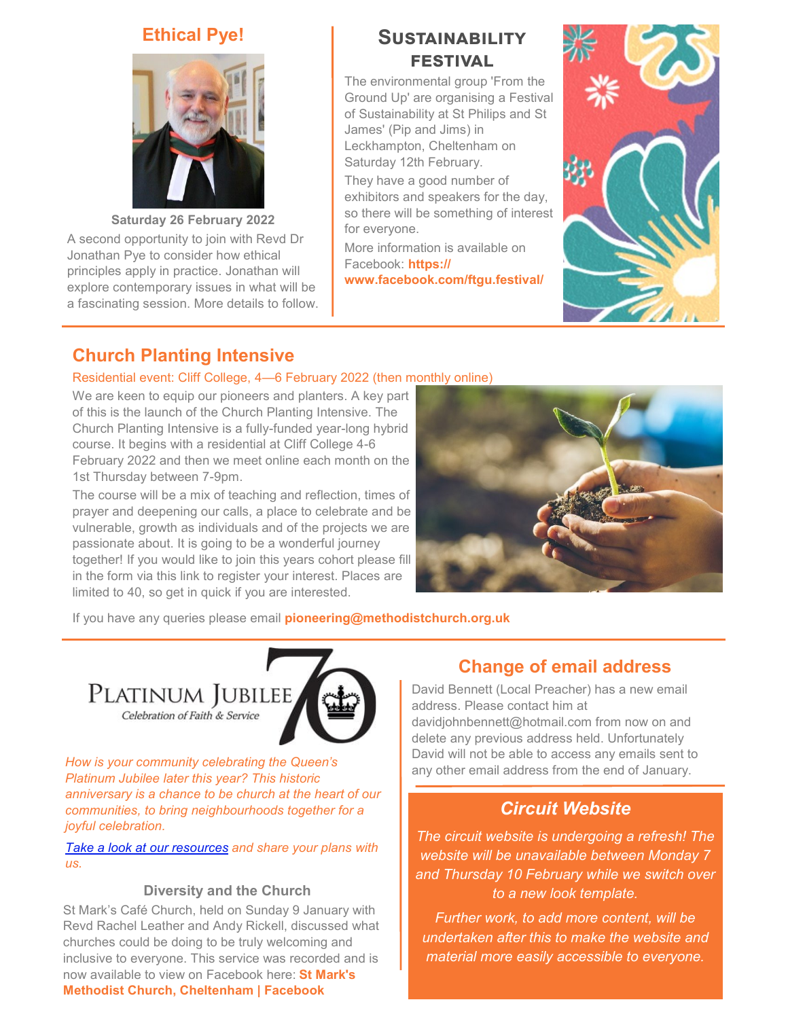#### **Ethical Pye!**



**Saturday 26 February 2022** A second opportunity to join with Revd Dr Jonathan Pye to consider how ethical principles apply in practice. Jonathan will explore contemporary issues in what will be a fascinating session. More details to follow.

## **Sustainability festival**

The environmental group 'From the Ground Up' are organising a Festival of Sustainability at St Philips and St James' (Pip and Jims) in Leckhampton, Cheltenham on Saturday 12th February.

They have a good number of exhibitors and speakers for the day, so there will be something of interest for everyone.

More information is available on Facebook: **[https://](https://www.facebook.com/ftgu.festival/) [www.facebook.com/ftgu.festival/](https://www.facebook.com/ftgu.festival/)**



## **Church Planting Intensive**

#### Residential event: Cliff College, 4—6 February 2022 (then monthly online)

We are keen to equip our pioneers and planters. A key part of this is the launch of the Church Planting Intensive. The Church Planting Intensive is a fully-funded year-long hybrid course. It begins with a residential at Cliff College 4-6 February 2022 and then we meet online each month on the 1st Thursday between 7-9pm.

The course will be a mix of teaching and reflection, times of prayer and deepening our calls, a place to celebrate and be vulnerable, growth as individuals and of the projects we are passionate about. It is going to be a wonderful journey together! If you would like to join this years cohort please fill in the form via this link to register your interest. Places are limited to 40, so get in quick if you are interested.



If you have any queries please email **[pioneering@methodistchurch.org.uk](mailto:pioneering@methodistchurch.org.uk)**

PLATINUM JUBILEE Celebration of Faith & Service



*How is your community celebrating the Queen's Platinum Jubilee later this year? This historic anniversary is a chance to be church at the heart of our communities, to bring neighbourhoods together for a joyful celebration.*

*[Take a look at our resources](https://methodist-news.org.uk/BVI-7OW8Q-WLXT8H-4OECJ8-1/c.aspx) and share your plans with us.*

#### **Diversity and the Church**

St Mark's Café Church, held on Sunday 9 January with Revd Rachel Leather and Andy Rickell, discussed what churches could be doing to be truly welcoming and inclusive to everyone. This service was recorded and is now available to view on Facebook here: **[St Mark's](https://www.facebook.com/stmarksmethodistchurch)  [Methodist Church, Cheltenham | Facebook](https://www.facebook.com/stmarksmethodistchurch)**

## **Change of email address**

David Bennett (Local Preacher) has a new email address. Please contact him at davidjohnbennett@hotmail.com from now on and delete any previous address held. Unfortunately David will not be able to access any emails sent to any other email address from the end of January.

### *Circuit Website*

*The circuit website is undergoing a refresh! The website will be unavailable between Monday 7 and Thursday 10 February while we switch over to a new look template.*

*Further work, to add more content, will be undertaken after this to make the website and material more easily accessible to everyone.*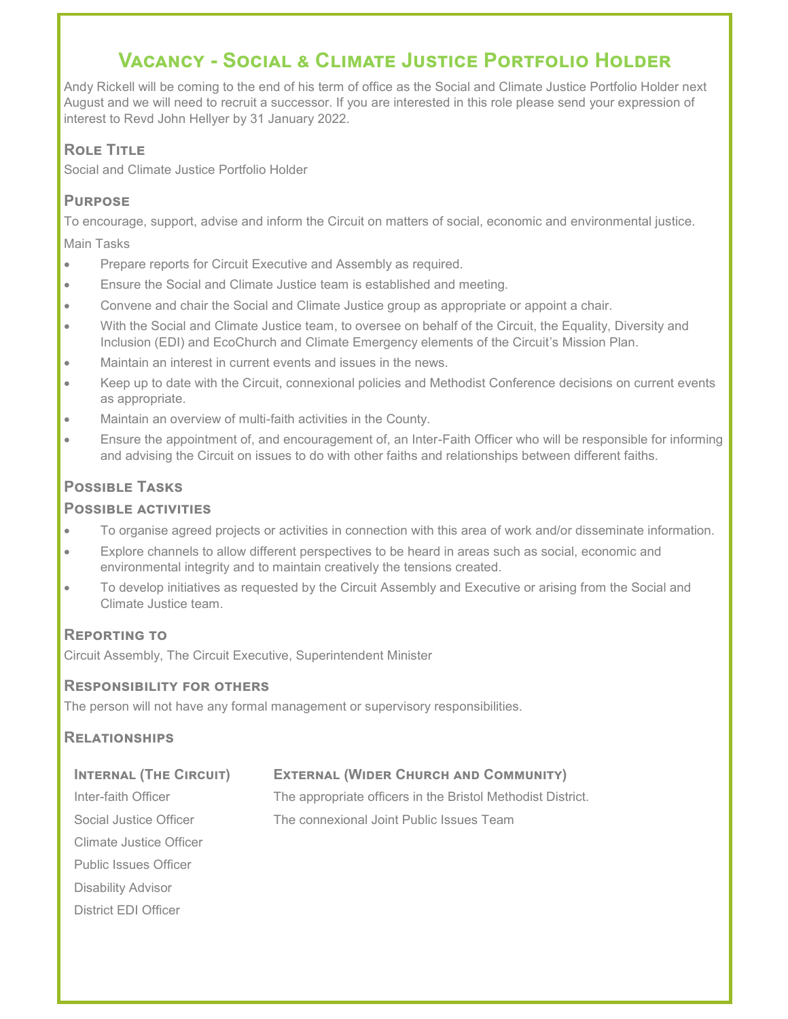## **Vacancy - Social & Climate Justice Portfolio Holder**

Andy Rickell will be coming to the end of his term of office as the Social and Climate Justice Portfolio Holder next August and we will need to recruit a successor. If you are interested in this role please send your expression of interest to Revd John Hellyer by 31 January 2022.

#### **Role Title**

Social and Climate Justice Portfolio Holder

#### **Purpose**

To encourage, support, advise and inform the Circuit on matters of social, economic and environmental justice.

Main Tasks

- Prepare reports for Circuit Executive and Assembly as required.
- Ensure the Social and Climate Justice team is established and meeting.
- Convene and chair the Social and Climate Justice group as appropriate or appoint a chair.
- With the Social and Climate Justice team, to oversee on behalf of the Circuit, the Equality, Diversity and Inclusion (EDI) and EcoChurch and Climate Emergency elements of the Circuit's Mission Plan.
- Maintain an interest in current events and issues in the news.
- Keep up to date with the Circuit, connexional policies and Methodist Conference decisions on current events as appropriate.
- Maintain an overview of multi-faith activities in the County.
- Ensure the appointment of, and encouragement of, an Inter-Faith Officer who will be responsible for informing and advising the Circuit on issues to do with other faiths and relationships between different faiths.

#### **Possible Tasks**

#### **Possible activities**

- To organise agreed projects or activities in connection with this area of work and/or disseminate information.
- Explore channels to allow different perspectives to be heard in areas such as social, economic and environmental integrity and to maintain creatively the tensions created.
- To develop initiatives as requested by the Circuit Assembly and Executive or arising from the Social and Climate Justice team.

#### **Reporting to**

Circuit Assembly, The Circuit Executive, Superintendent Minister

#### **Responsibility for others**

The person will not have any formal management or supervisory responsibilities.

#### **Relationships**

| <b>INTERNAL (THE CIRCUIT)</b> | <b>EXTERNAL (WIDER CHURCH AND COMMUNITY)</b>                |
|-------------------------------|-------------------------------------------------------------|
| Inter-faith Officer           | The appropriate officers in the Bristol Methodist District. |
| Social Justice Officer        | The connexional Joint Public Issues Team                    |
| Climate Justice Officer       |                                                             |
| <b>Public Issues Officer</b>  |                                                             |
| Disability Advisor            |                                                             |
| District FDI Officer          |                                                             |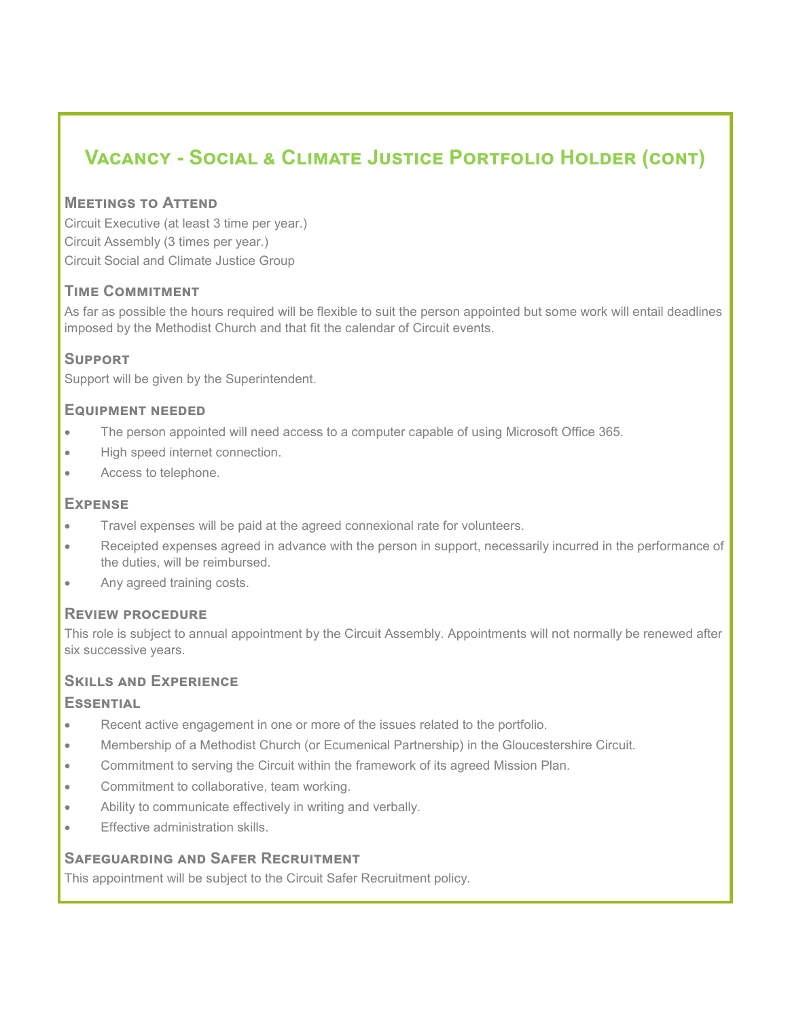## **Vacancy - Social & Climate Justice Portfolio Holder (cont)**

#### **Meetings to Attend**

Circuit Executive (at least 3 time per year.) Circuit Assembly (3 times per year.) Circuit Social and Climate Justice Group

#### **Time Commitment**

As far as possible the hours required will be flexible to suit the person appointed but some work will entail deadlines imposed by the Methodist Church and that fit the calendar of Circuit events.

#### **Support**

Support will be given by the Superintendent.

#### **Equipment needed**

- The person appointed will need access to a computer capable of using Microsoft Office 365.
- High speed internet connection.
- Access to telephone.

#### **Expense**

- Travel expenses will be paid at the agreed connexional rate for volunteers.
- Receipted expenses agreed in advance with the person in support, necessarily incurred in the performance of the duties, will be reimbursed.
- Any agreed training costs.

#### **Review procedure**

This role is subject to annual appointment by the Circuit Assembly. Appointments will not normally be renewed after six successive years.

#### **Skills and Experience**

#### **Essential**

- Recent active engagement in one or more of the issues related to the portfolio.
- Membership of a Methodist Church (or Ecumenical Partnership) in the Gloucestershire Circuit.
- Commitment to serving the Circuit within the framework of its agreed Mission Plan.
- Commitment to collaborative, team working.
- Ability to communicate effectively in writing and verbally.
- Effective administration skills.

#### **Safeguarding and Safer Recruitment**

This appointment will be subject to the Circuit Safer Recruitment policy.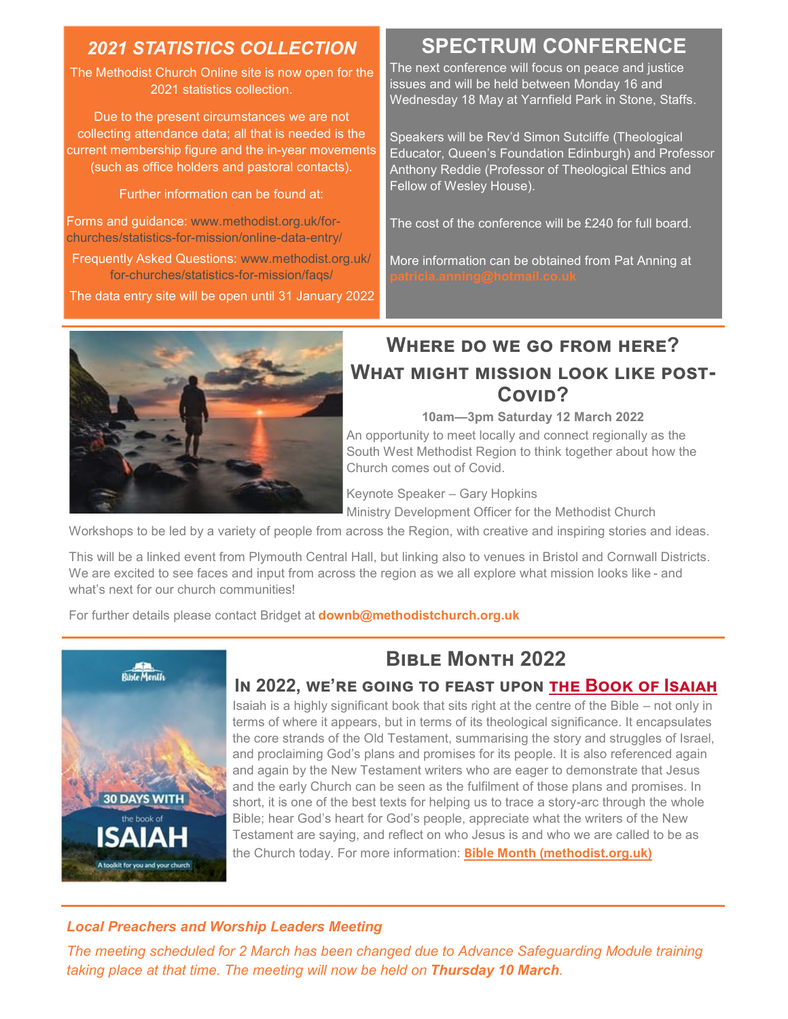## *2021 STATISTICS COLLECTION*

The Methodist Church Online site is now open for the 2021 statistics collection.

Due to the present circumstances we are not collecting attendance data; all that is needed is the current membership figure and the in-year movements (such as office holders and pastoral contacts).

Further information can be found at:

Forms and guidance: [www.methodist.org.uk/for](http://www.methodist.org.uk/for-churches/statistics-for-mission/online-data-entry/)[churches/statistics](http://www.methodist.org.uk/for-churches/statistics-for-mission/online-data-entry/)-for-mission/online-data-entry/

Frequently Asked Questions: [www.methodist.org.uk/](http://www.methodist.org.uk/for-churches/statistics-for-mission/faqs/) for-[churches/statistics](http://www.methodist.org.uk/for-churches/statistics-for-mission/faqs/)-for-mission/faqs/

The data entry site will be open until 31 January 2022

## **SPECTRUM CONFERENCE**

The next conference will focus on peace and justice issues and will be held between Monday 16 and Wednesday 18 May at Yarnfield Park in Stone, Staffs.

Speakers will be Rev'd Simon Sutcliffe (Theological Educator, Queen's Foundation Edinburgh) and Professor Anthony Reddie (Professor of Theological Ethics and Fellow of Wesley House).

The cost of the conference will be £240 for full board.

More information can be obtained from Pat Anning at



## **Where do we go from here? What might mission look like post-**Covi<sub>D</sub>?

**10am—3pm Saturday 12 March 2022**

An opportunity to meet locally and connect regionally as the South West Methodist Region to think together about how the Church comes out of Covid.

Keynote Speaker – Gary Hopkins

Ministry Development Officer for the Methodist Church

Workshops to be led by a variety of people from across the Region, with creative and inspiring stories and ideas.

This will be a linked event from Plymouth Central Hall, but linking also to venues in Bristol and Cornwall Districts. We are excited to see faces and input from across the region as we all explore what mission looks like - and what's next for our church communities!

For further details please contact Bridget at **downb@methodistchurch.org.uk**



## **BIBLE MONTH 2022**

**In 2022, we're going to feast upon [the Book of Isaiah](https://www.preachweb.org/books-and-diaries)**

Isaiah is a highly significant book that sits right at the centre of the Bible – not only in terms of where it appears, but in terms of its theological significance. It encapsulates the core strands of the Old Testament, summarising the story and struggles of Israel, and proclaiming God's plans and promises for its people. It is also referenced again and again by the New Testament writers who are eager to demonstrate that Jesus and the early Church can be seen as the fulfilment of those plans and promises. In short, it is one of the best texts for helping us to trace a story-arc through the whole Bible; hear God's heart for God's people, appreciate what the writers of the New Testament are saying, and reflect on who Jesus is and who we are called to be as the Church today. For more information: **Bible [Month \(methodist.org.uk\)](https://www.methodist.org.uk/biblemonth?fbclid=IwAR1lsh_E7jxkJNXUkcqT1pSYwdOMzq28NmcdZlSP8lIn73ZCUZA6lZ1Lo7Y)**

*Local Preachers and Worship Leaders Meeting*

*The meeting scheduled for 2 March has been changed due to Advance Safeguarding Module training taking place at that time. The meeting will now be held on Thursday 10 March.*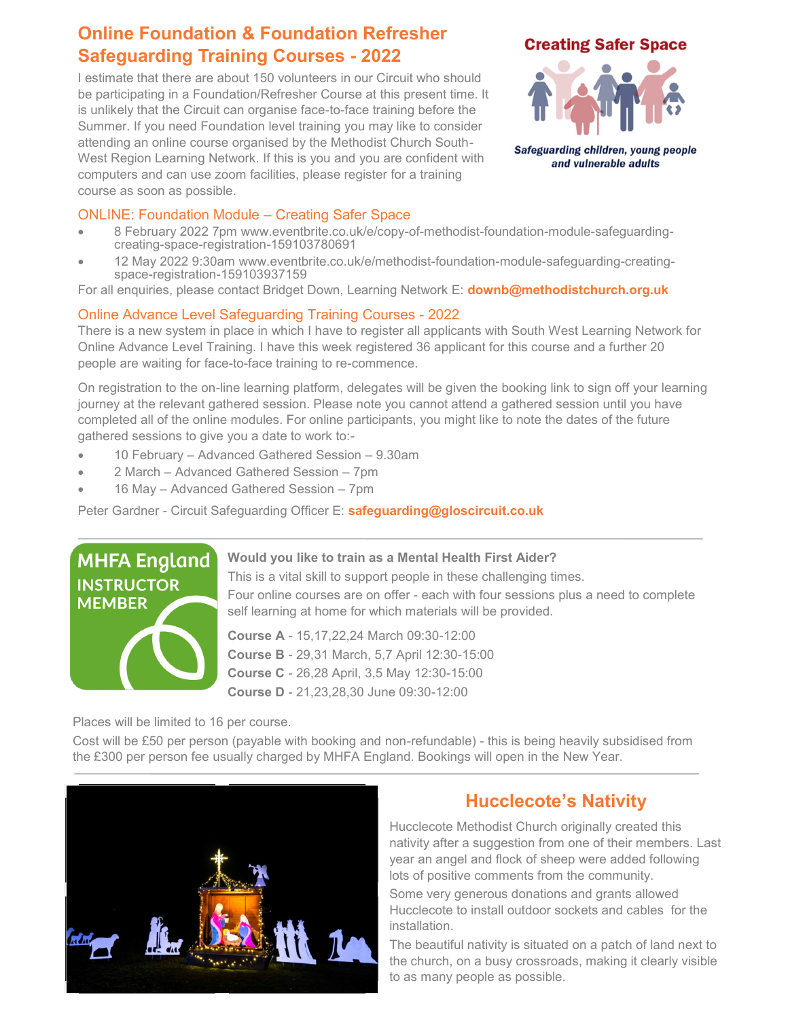## **Online Foundation & Foundation Refresher Safeguarding Training Courses - 2022**

I estimate that there are about 150 volunteers in our Circuit who should be participating in a Foundation/Refresher Course at this present time. It is unlikely that the Circuit can organise face-to-face training before the Summer. If you need Foundation level training you may like to consider attending an online course organised by the Methodist Church South-West Region Learning Network. If this is you and you are confident with computers and can use zoom facilities, please register for a training course as soon as possible.

#### **Creating Safer Space**



Safeguarding children, young people and vulnerable adults

#### ONLINE: Foundation Module – Creating Safer Space

- 8 February 2022 7pm [www.eventbrite.co.uk/e/copy](https://www.eventbrite.co.uk/e/copy-of-methodist-foundation-module-safeguarding-creating-space-registration-159103780691)-of-methodist-foundation-module-safeguardingcreating-space-registration-[159103780691](https://www.eventbrite.co.uk/e/copy-of-methodist-foundation-module-safeguarding-creating-space-registration-159103780691)
- 12 May 2022 9:30am [www.eventbrite.co.uk/e/methodist](https://www.eventbrite.co.uk/e/methodist-foundation-module-safeguarding-creating-space-registration-159103937159)-foundation-module-safeguarding-creatingspace-registration-[159103937159](https://www.eventbrite.co.uk/e/methodist-foundation-module-safeguarding-creating-space-registration-159103937159)

For all enquiries, please contact Bridget Down, Learning Network E: **[downb@methodistchurch.org.uk](mailto:downb@methodistchurch.org.uk)**

#### Online Advance Level Safeguarding Training Courses - 2022

There is a new system in place in which I have to register all applicants with South West Learning Network for Online Advance Level Training. I have this week registered 36 applicant for this course and a further 20 people are waiting for face-to-face training to re-commence.

On registration to the on-line learning platform, delegates will be given the booking link to sign off your learning journey at the relevant gathered session. Please note you cannot attend a gathered session until you have completed all of the online modules. For online participants, you might like to note the dates of the future gathered sessions to give you a date to work to:-

- 10 February Advanced Gathered Session 9.30am
- 2 March Advanced Gathered Session 7pm
- 16 May Advanced Gathered Session 7pm

Peter Gardner - Circuit Safeguarding Officer E: **[safeguarding@gloscircuit.co.uk](mailto:safeguarding@gloscircuit.co.uk)**



#### **Would you like to train as a Mental Health First Aider?**

This is a vital skill to support people in these challenging times. Four online courses are on offer - each with four sessions plus a need to complete self learning at home for which materials will be provided.

**Course A** - 15,17,22,24 March 09:30-12:00 **Course B** - 29,31 March, 5,7 April 12:30-15:00 **Course C** - 26,28 April, 3,5 May 12:30-15:00 **Course D** - 21,23,28,30 June 09:30-12:00

Places will be limited to 16 per course.

Cost will be £50 per person (payable with booking and non-refundable) - this is being heavily subsidised from the £300 per person fee usually charged by MHFA England. Bookings will open in the New Year.



## **Hucclecote's Nativity**

Hucclecote Methodist Church originally created this nativity after a suggestion from one of their members. Last year an angel and flock of sheep were added following lots of positive comments from the community.

Some very generous donations and grants allowed Hucclecote to install outdoor sockets and cables for the installation.

The beautiful nativity is situated on a patch of land next to the church, on a busy crossroads, making it clearly visible to as many people as possible.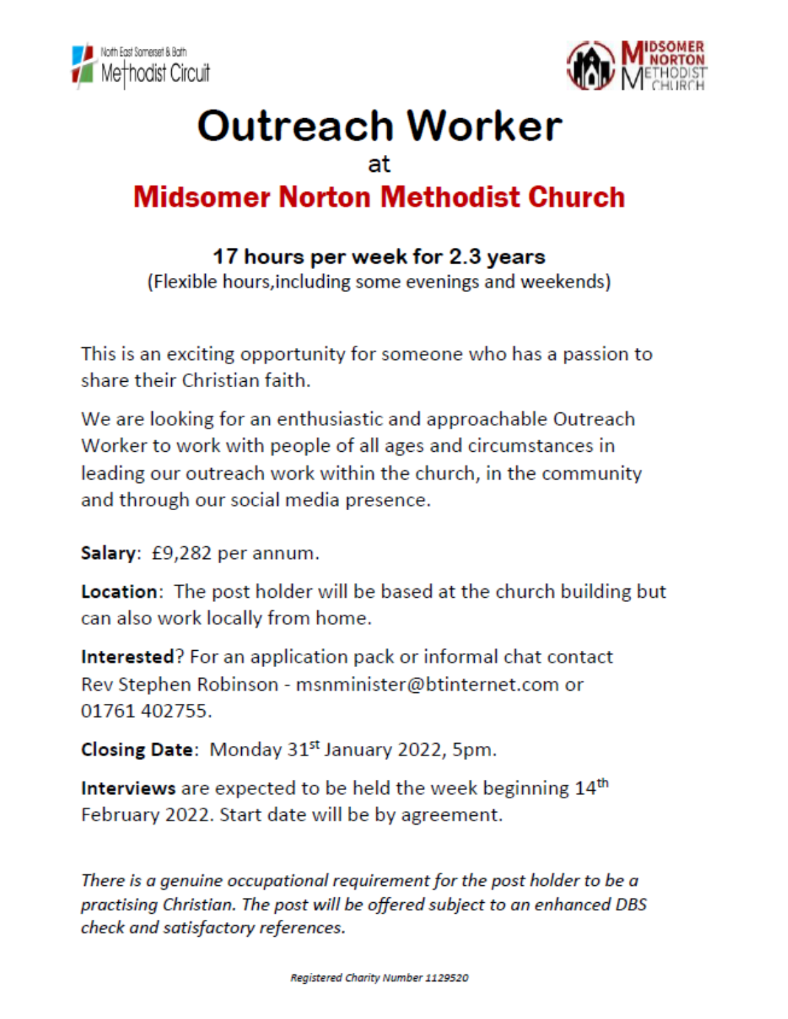



## **Outreach Worker** at **Midsomer Norton Methodist Church**

## 17 hours per week for 2.3 years

(Flexible hours, including some evenings and weekends)

This is an exciting opportunity for someone who has a passion to share their Christian faith.

We are looking for an enthusiastic and approachable Outreach Worker to work with people of all ages and circumstances in leading our outreach work within the church, in the community and through our social media presence.

Salary: £9,282 per annum.

**Location:** The post holder will be based at the church building but can also work locally from home.

**Interested?** For an application pack or informal chat contact Rev Stephen Robinson - msnminister@btinternet.com or 01761 402755.

Closing Date: Monday 31<sup>st</sup> January 2022, 5pm.

Interviews are expected to be held the week beginning 14<sup>th</sup> February 2022. Start date will be by agreement.

There is a genuine occupational requirement for the post holder to be a practising Christian. The post will be offered subject to an enhanced DBS check and satisfactory references.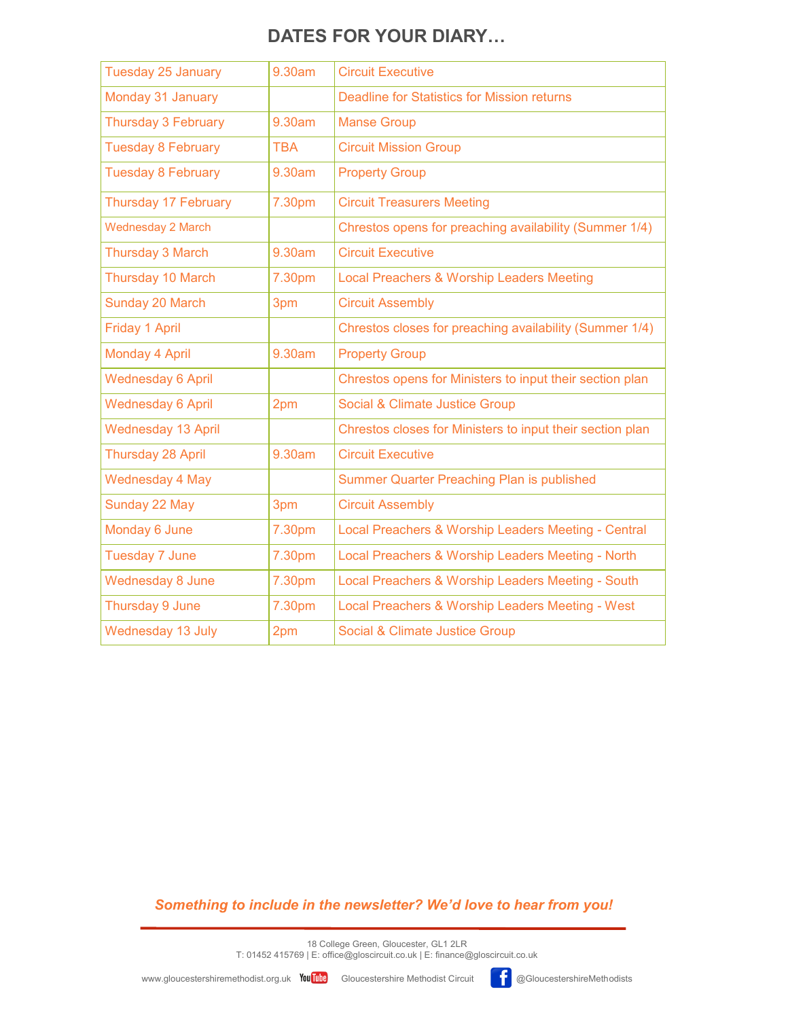## **DATES FOR YOUR DIARY…**

| <b>Tuesday 25 January</b>   | 9.30am     | <b>Circuit Executive</b>                                  |
|-----------------------------|------------|-----------------------------------------------------------|
| Monday 31 January           |            | <b>Deadline for Statistics for Mission returns</b>        |
| Thursday 3 February         | 9.30am     | <b>Manse Group</b>                                        |
| <b>Tuesday 8 February</b>   | <b>TBA</b> | <b>Circuit Mission Group</b>                              |
| <b>Tuesday 8 February</b>   | 9.30am     | <b>Property Group</b>                                     |
| <b>Thursday 17 February</b> | 7.30pm     | <b>Circuit Treasurers Meeting</b>                         |
| <b>Wednesday 2 March</b>    |            | Chrestos opens for preaching availability (Summer 1/4)    |
| Thursday 3 March            | 9.30am     | <b>Circuit Executive</b>                                  |
| Thursday 10 March           | 7.30pm     | Local Preachers & Worship Leaders Meeting                 |
| Sunday 20 March             | 3pm        | <b>Circuit Assembly</b>                                   |
| <b>Friday 1 April</b>       |            | Chrestos closes for preaching availability (Summer 1/4)   |
| Monday 4 April              | 9.30am     | <b>Property Group</b>                                     |
| <b>Wednesday 6 April</b>    |            | Chrestos opens for Ministers to input their section plan  |
| <b>Wednesday 6 April</b>    | 2pm        | Social & Climate Justice Group                            |
| <b>Wednesday 13 April</b>   |            | Chrestos closes for Ministers to input their section plan |
| <b>Thursday 28 April</b>    | 9.30am     | <b>Circuit Executive</b>                                  |
| <b>Wednesday 4 May</b>      |            | <b>Summer Quarter Preaching Plan is published</b>         |
| Sunday 22 May               | 3pm        | <b>Circuit Assembly</b>                                   |
| Monday 6 June               | 7.30pm     | Local Preachers & Worship Leaders Meeting - Central       |
| <b>Tuesday 7 June</b>       | 7.30pm     | Local Preachers & Worship Leaders Meeting - North         |
| <b>Wednesday 8 June</b>     | 7.30pm     | Local Preachers & Worship Leaders Meeting - South         |
| Thursday 9 June             | 7.30pm     | Local Preachers & Worship Leaders Meeting - West          |
| Wednesday 13 July           | 2pm        | <b>Social &amp; Climate Justice Group</b>                 |

#### *Something to include in the newsletter? We'd love to hear from you!*

18 College Green, Gloucester, GL1 2LR T: 01452 415769 | E: office@gloscircuit.co.uk | E: finance@gloscircuit.co.uk

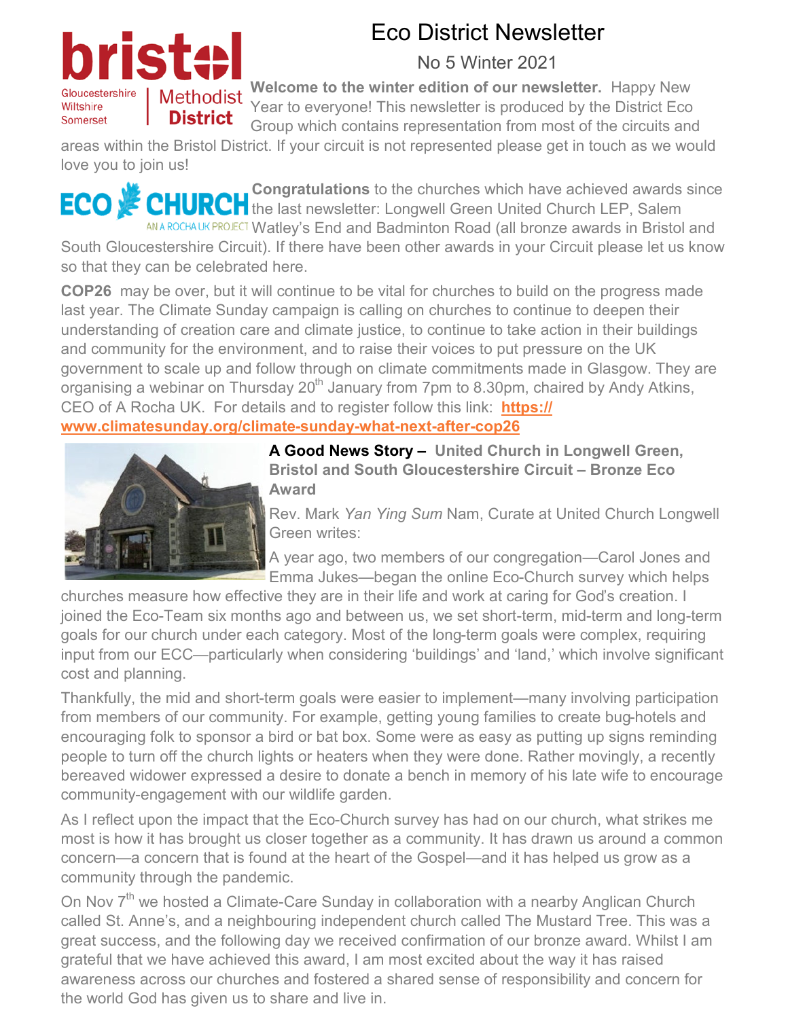## Gloucestershire Wiltshire Somerset

## Eco District Newsletter

## No 5 Winter 2021

**Welcome to the winter edition of our newsletter.** Happy New Methodist Welcome to the Willem Same of the District Eco<br>This newsletter is produced by the District Eco Group which contains representation from most of the circuits and

areas within the Bristol District. If your circuit is not represented please get in touch as we would love you to join us!

**Congratulations** to the churches which have achieved awards since ECO 紧 **T** the last newsletter: Longwell Green United Church LEP, Salem ANA ROCHA UK PROJECT Watley's End and Badminton Road (all bronze awards in Bristol and

South Gloucestershire Circuit). If there have been other awards in your Circuit please let us know so that they can be celebrated here.

**COP26** may be over, but it will continue to be vital for churches to build on the progress made last year. The Climate Sunday campaign is calling on churches to continue to deepen their understanding of creation care and climate justice, to continue to take action in their buildings and community for the environment, and to raise their voices to put pressure on the UK government to scale up and follow through on climate commitments made in Glasgow. They are organising a webinar on Thursday  $20<sup>th</sup>$  January from 7pm to 8.30pm, chaired by Andy Atkins, CEO of A Rocha UK. For details and to register follow this link: **[https://](https://www.climatesunday.org/climate-sunday-what-next-after-cop26) [www.climatesunday.org/climate](https://www.climatesunday.org/climate-sunday-what-next-after-cop26)-sunday-what-next-after-cop26**



**A Good News Story – United Church in Longwell Green, Bristol and South Gloucestershire Circuit – Bronze Eco Award**

Rev. Mark *Yan Ying Sum* Nam, Curate at United Church Longwell Green writes:

A year ago, two members of our congregation—Carol Jones and Emma Jukes—began the online Eco-Church survey which helps

churches measure how effective they are in their life and work at caring for God's creation. I joined the Eco-Team six months ago and between us, we set short-term, mid-term and long-term goals for our church under each category. Most of the long-term goals were complex, requiring input from our ECC—particularly when considering 'buildings' and 'land,' which involve significant cost and planning.

Thankfully, the mid and short-term goals were easier to implement—many involving participation from members of our community. For example, getting young families to create bug-hotels and encouraging folk to sponsor a bird or bat box. Some were as easy as putting up signs reminding people to turn off the church lights or heaters when they were done. Rather movingly, a recently bereaved widower expressed a desire to donate a bench in memory of his late wife to encourage community-engagement with our wildlife garden.

As I reflect upon the impact that the Eco-Church survey has had on our church, what strikes me most is how it has brought us closer together as a community. It has drawn us around a common concern—a concern that is found at the heart of the Gospel—and it has helped us grow as a community through the pandemic.

On Nov 7<sup>th</sup> we hosted a Climate-Care Sunday in collaboration with a nearby Anglican Church called St. Anne's, and a neighbouring independent church called The Mustard Tree. This was a great success, and the following day we received confirmation of our bronze award. Whilst I am grateful that we have achieved this award, I am most excited about the way it has raised awareness across our churches and fostered a shared sense of responsibility and concern for the world God has given us to share and live in.